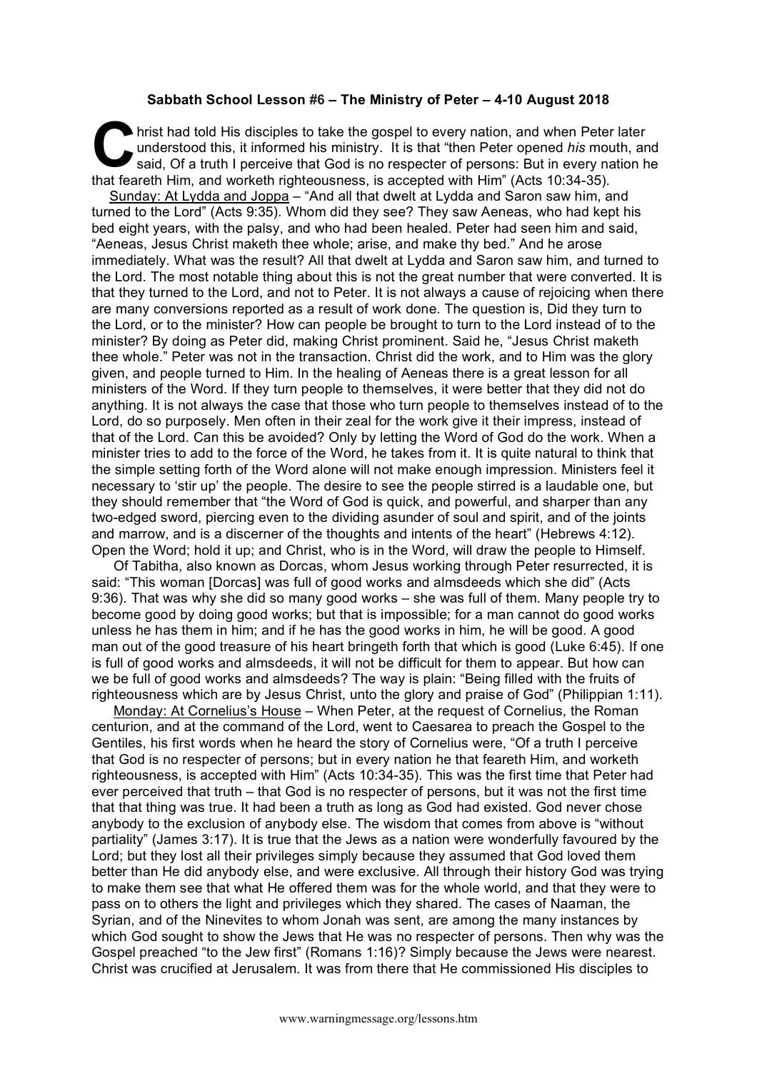## **Sabbath School Lesson #6 – The Ministry of Peter – 4-10 August 2018**

hrist had told His disciples to take the gospel to every nation, and when Peter later understood this, it informed his ministry. It is that "then Peter opened his mouth, and said, Of a truth I perceive that God is no respe understood this, it informed his ministry. It is that "then Peter opened *his* mouth, and said, Of a truth I perceive that God is no respecter of persons: But in every nation he that feareth Him, and worketh righteousness, is accepted with Him" (Acts 10:34-35).

Sunday: At Lydda and Joppa – "And all that dwelt at Lydda and Saron saw him, and turned to the Lord" (Acts 9:35). Whom did they see? They saw Aeneas, who had kept his bed eight years, with the palsy, and who had been healed. Peter had seen him and said, "Aeneas, Jesus Christ maketh thee whole; arise, and make thy bed." And he arose immediately. What was the result? All that dwelt at Lydda and Saron saw him, and turned to the Lord. The most notable thing about this is not the great number that were converted. It is that they turned to the Lord, and not to Peter. It is not always a cause of rejoicing when there are many conversions reported as a result of work done. The question is, Did they turn to the Lord, or to the minister? How can people be brought to turn to the Lord instead of to the minister? By doing as Peter did, making Christ prominent. Said he, "Jesus Christ maketh thee whole." Peter was not in the transaction. Christ did the work, and to Him was the glory given, and people turned to Him. In the healing of Aeneas there is a great lesson for all ministers of the Word. If they turn people to themselves, it were better that they did not do anything. It is not always the case that those who turn people to themselves instead of to the Lord, do so purposely. Men often in their zeal for the work give it their impress, instead of that of the Lord. Can this be avoided? Only by letting the Word of God do the work. When a minister tries to add to the force of the Word, he takes from it. It is quite natural to think that the simple setting forth of the Word alone will not make enough impression. Ministers feel it necessary to 'stir up' the people. The desire to see the people stirred is a laudable one, but they should remember that "the Word of God is quick, and powerful, and sharper than any two-edged sword, piercing even to the dividing asunder of soul and spirit, and of the joints and marrow, and is a discerner of the thoughts and intents of the heart" (Hebrews 4:12). Open the Word; hold it up; and Christ, who is in the Word, will draw the people to Himself.

Of Tabitha, also known as Dorcas, whom Jesus working through Peter resurrected, it is said: "This woman [Dorcas] was full of good works and almsdeeds which she did" (Acts 9:36). That was why she did so many good works – she was full of them. Many people try to become good by doing good works; but that is impossible; for a man cannot do good works unless he has them in him; and if he has the good works in him, he will be good. A good man out of the good treasure of his heart bringeth forth that which is good (Luke 6:45). If one is full of good works and almsdeeds, it will not be difficult for them to appear. But how can we be full of good works and almsdeeds? The way is plain: "Being filled with the fruits of righteousness which are by Jesus Christ, unto the glory and praise of God" (Philippian 1:11).

Monday: At Cornelius's House – When Peter, at the request of Cornelius, the Roman centurion, and at the command of the Lord, went to Caesarea to preach the Gospel to the Gentiles, his first words when he heard the story of Cornelius were, "Of a truth I perceive that God is no respecter of persons; but in every nation he that feareth Him, and worketh righteousness, is accepted with Him" (Acts 10:34-35). This was the first time that Peter had ever perceived that truth – that God is no respecter of persons, but it was not the first time that that thing was true. It had been a truth as long as God had existed. God never chose anybody to the exclusion of anybody else. The wisdom that comes from above is "without partiality" (James 3:17). It is true that the Jews as a nation were wonderfully favoured by the Lord; but they lost all their privileges simply because they assumed that God loved them better than He did anybody else, and were exclusive. All through their history God was trying to make them see that what He offered them was for the whole world, and that they were to pass on to others the light and privileges which they shared. The cases of Naaman, the Syrian, and of the Ninevites to whom Jonah was sent, are among the many instances by which God sought to show the Jews that He was no respecter of persons. Then why was the Gospel preached "to the Jew first" (Romans 1:16)? Simply because the Jews were nearest. Christ was crucified at Jerusalem. It was from there that He commissioned His disciples to